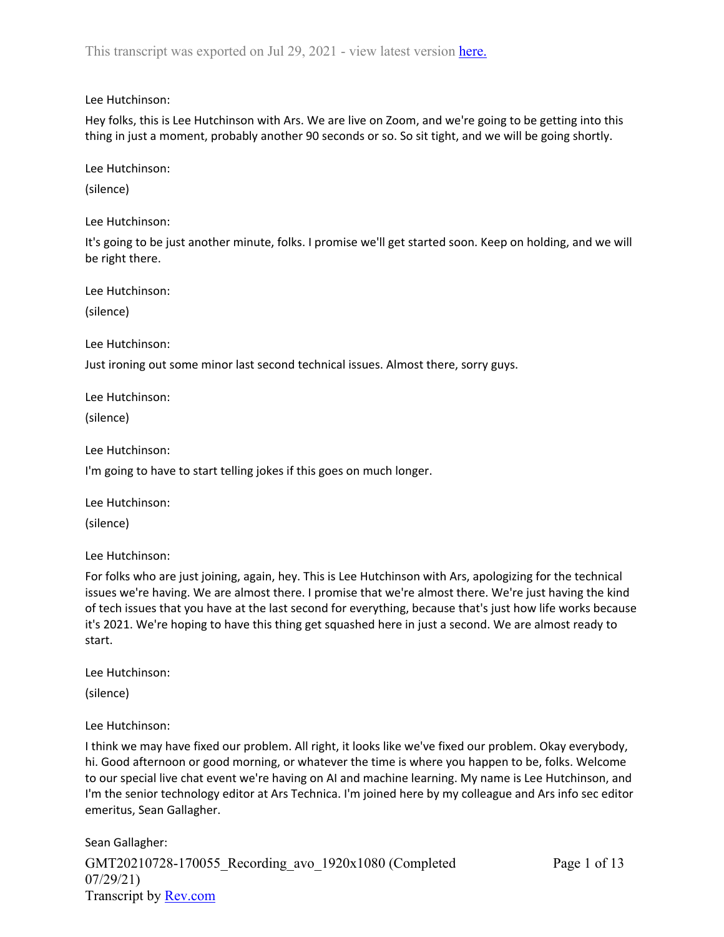Lee Hutchinson:

Hey folks, this is Lee Hutchinson with Ars. We are live on Zoom, and we're going to be getting into this thing in just a moment, probably another 90 seconds or so. So sit tight, and we will be going shortly.

Lee Hutchinson:

(silence)

Lee Hutchinson:

It's going to be just another minute, folks. I promise we'll get started soon. Keep on holding, and we will be right there.

Lee Hutchinson:

(silence)

Lee Hutchinson:

Just ironing out some minor last second technical issues. Almost there, sorry guys.

Lee Hutchinson:

(silence)

Lee Hutchinson:

I'm going to have to start telling jokes if this goes on much longer.

Lee Hutchinson:

(silence)

Lee Hutchinson:

For folks who are just joining, again, hey. This is Lee Hutchinson with Ars, apologizing for the technical issues we're having. We are almost there. I promise that we're almost there. We're just having the kind of tech issues that you have at the last second for everything, because that's just how life works because it's 2021. We're hoping to have this thing get squashed here in just a second. We are almost ready to start.

Lee Hutchinson:

(silence)

Lee Hutchinson:

I think we may have fixed our problem. All right, it looks like we've fixed our problem. Okay everybody, hi. Good afternoon or good morning, or whatever the time is where you happen to be, folks. Welcome to our special live chat event we're having on AI and machine learning. My name is Lee Hutchinson, and I'm the senior technology editor at Ars Technica. I'm joined here by my colleague and Ars info sec editor emeritus, Sean Gallagher.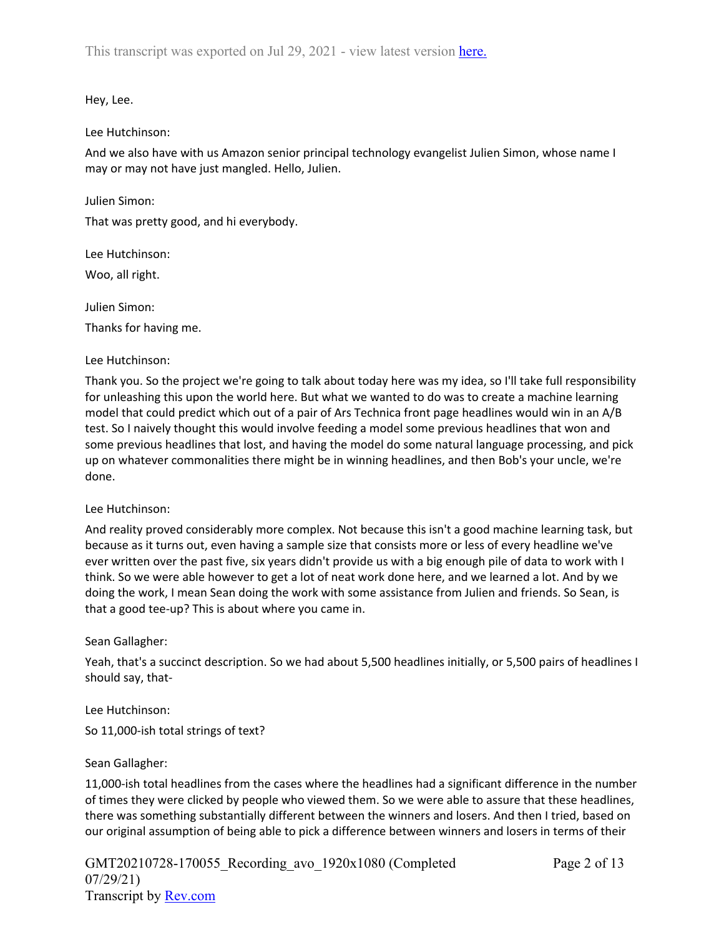Hey, Lee.

Lee Hutchinson:

And we also have with us Amazon senior principal technology evangelist Julien Simon, whose name I may or may not have just mangled. Hello, Julien.

Julien Simon:

That was pretty good, and hi everybody.

Lee Hutchinson: Woo, all right.

Julien Simon: Thanks for having me.

Lee Hutchinson:

Thank you. So the project we're going to talk about today here was my idea, so I'll take full responsibility for unleashing this upon the world here. But what we wanted to do was to create a machine learning model that could predict which out of a pair of Ars Technica front page headlines would win in an A/B test. So I naively thought this would involve feeding a model some previous headlines that won and some previous headlines that lost, and having the model do some natural language processing, and pick up on whatever commonalities there might be in winning headlines, and then Bob's your uncle, we're done.

# Lee Hutchinson:

And reality proved considerably more complex. Not because this isn't a good machine learning task, but because as it turns out, even having a sample size that consists more or less of every headline we've ever written over the past five, six years didn't provide us with a big enough pile of data to work with I think. So we were able however to get a lot of neat work done here, and we learned a lot. And by we doing the work, I mean Sean doing the work with some assistance from Julien and friends. So Sean, is that a good tee-up? This is about where you came in.

# Sean Gallagher:

Yeah, that's a succinct description. So we had about 5,500 headlines initially, or 5,500 pairs of headlines I should say, that-

Lee Hutchinson:

So 11,000-ish total strings of text?

# Sean Gallagher:

11,000-ish total headlines from the cases where the headlines had a significant difference in the number of times they were clicked by people who viewed them. So we were able to assure that these headlines, there was something substantially different between the winners and losers. And then I tried, based on our original assumption of being able to pick a difference between winners and losers in terms of their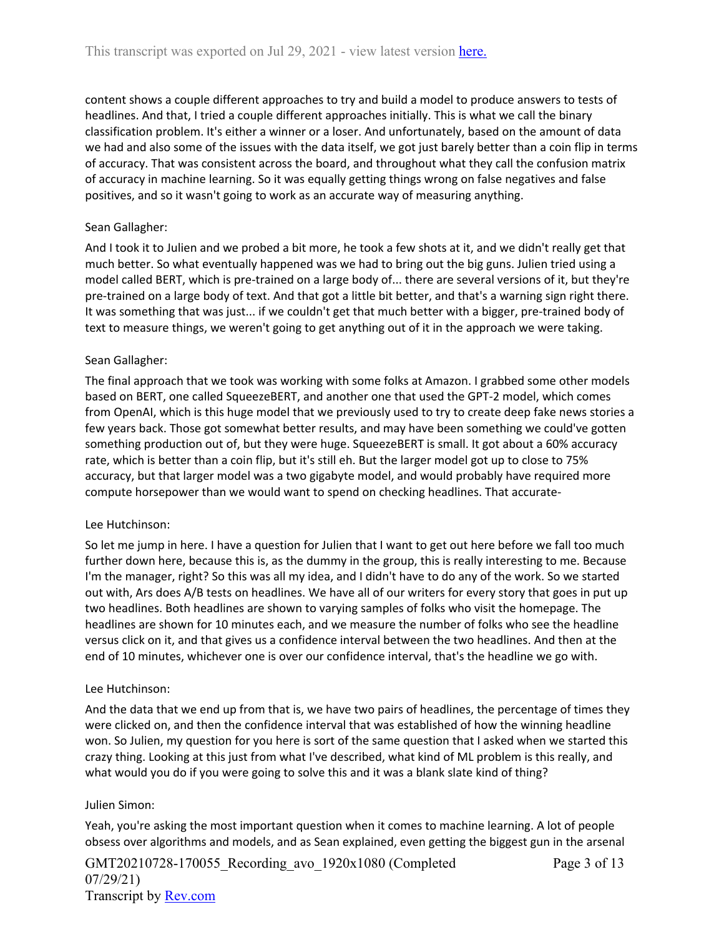content shows a couple different approaches to try and build a model to produce answers to tests of headlines. And that, I tried a couple different approaches initially. This is what we call the binary classification problem. It's either a winner or a loser. And unfortunately, based on the amount of data we had and also some of the issues with the data itself, we got just barely better than a coin flip in terms of accuracy. That was consistent across the board, and throughout what they call the confusion matrix of accuracy in machine learning. So it was equally getting things wrong on false negatives and false positives, and so it wasn't going to work as an accurate way of measuring anything.

# Sean Gallagher:

And I took it to Julien and we probed a bit more, he took a few shots at it, and we didn't really get that much better. So what eventually happened was we had to bring out the big guns. Julien tried using a model called BERT, which is pre-trained on a large body of... there are several versions of it, but they're pre-trained on a large body of text. And that got a little bit better, and that's a warning sign right there. It was something that was just... if we couldn't get that much better with a bigger, pre-trained body of text to measure things, we weren't going to get anything out of it in the approach we were taking.

# Sean Gallagher:

The final approach that we took was working with some folks at Amazon. I grabbed some other models based on BERT, one called SqueezeBERT, and another one that used the GPT-2 model, which comes from OpenAI, which is this huge model that we previously used to try to create deep fake news stories a few years back. Those got somewhat better results, and may have been something we could've gotten something production out of, but they were huge. SqueezeBERT is small. It got about a 60% accuracy rate, which is better than a coin flip, but it's still eh. But the larger model got up to close to 75% accuracy, but that larger model was a two gigabyte model, and would probably have required more compute horsepower than we would want to spend on checking headlines. That accurate-

# Lee Hutchinson:

So let me jump in here. I have a question for Julien that I want to get out here before we fall too much further down here, because this is, as the dummy in the group, this is really interesting to me. Because I'm the manager, right? So this was all my idea, and I didn't have to do any of the work. So we started out with, Ars does A/B tests on headlines. We have all of our writers for every story that goes in put up two headlines. Both headlines are shown to varying samples of folks who visit the homepage. The headlines are shown for 10 minutes each, and we measure the number of folks who see the headline versus click on it, and that gives us a confidence interval between the two headlines. And then at the end of 10 minutes, whichever one is over our confidence interval, that's the headline we go with.

# Lee Hutchinson:

And the data that we end up from that is, we have two pairs of headlines, the percentage of times they were clicked on, and then the confidence interval that was established of how the winning headline won. So Julien, my question for you here is sort of the same question that I asked when we started this crazy thing. Looking at this just from what I've described, what kind of ML problem is this really, and what would you do if you were going to solve this and it was a blank slate kind of thing?

# Julien Simon:

Yeah, you're asking the most important question when it comes to machine learning. A lot of people obsess over algorithms and models, and as Sean explained, even getting the biggest gun in the arsenal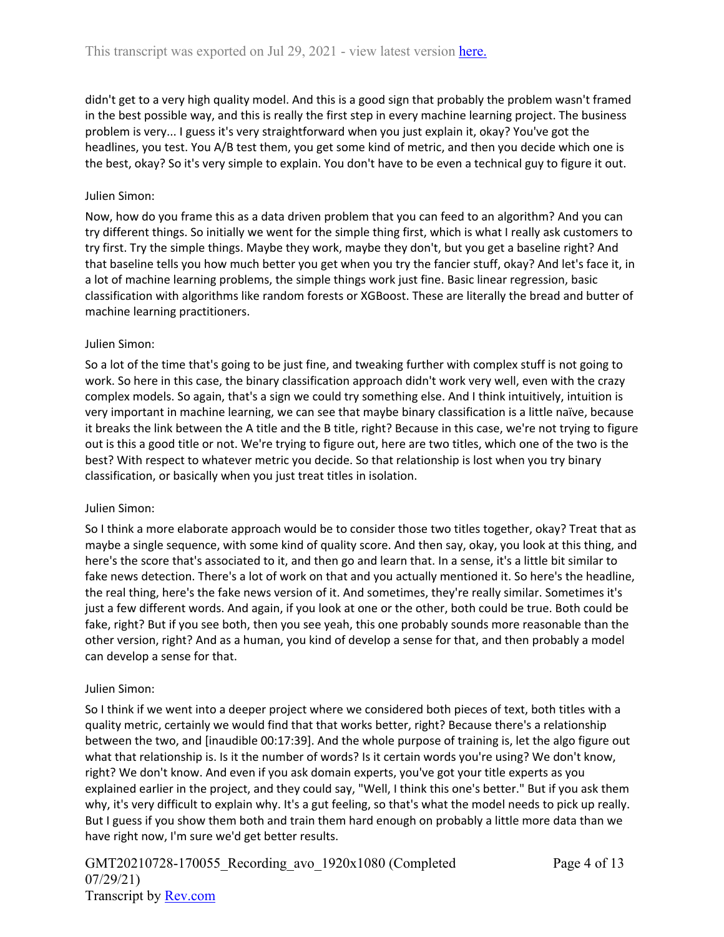didn't get to a very high quality model. And this is a good sign that probably the problem wasn't framed in the best possible way, and this is really the first step in every machine learning project. The business problem is very... I guess it's very straightforward when you just explain it, okay? You've got the headlines, you test. You A/B test them, you get some kind of metric, and then you decide which one is the best, okay? So it's very simple to explain. You don't have to be even a technical guy to figure it out.

# Julien Simon:

Now, how do you frame this as a data driven problem that you can feed to an algorithm? And you can try different things. So initially we went for the simple thing first, which is what I really ask customers to try first. Try the simple things. Maybe they work, maybe they don't, but you get a baseline right? And that baseline tells you how much better you get when you try the fancier stuff, okay? And let's face it, in a lot of machine learning problems, the simple things work just fine. Basic linear regression, basic classification with algorithms like random forests or XGBoost. These are literally the bread and butter of machine learning practitioners.

# Julien Simon:

So a lot of the time that's going to be just fine, and tweaking further with complex stuff is not going to work. So here in this case, the binary classification approach didn't work very well, even with the crazy complex models. So again, that's a sign we could try something else. And I think intuitively, intuition is very important in machine learning, we can see that maybe binary classification is a little naïve, because it breaks the link between the A title and the B title, right? Because in this case, we're not trying to figure out is this a good title or not. We're trying to figure out, here are two titles, which one of the two is the best? With respect to whatever metric you decide. So that relationship is lost when you try binary classification, or basically when you just treat titles in isolation.

# Julien Simon:

So I think a more elaborate approach would be to consider those two titles together, okay? Treat that as maybe a single sequence, with some kind of quality score. And then say, okay, you look at this thing, and here's the score that's associated to it, and then go and learn that. In a sense, it's a little bit similar to fake news detection. There's a lot of work on that and you actually mentioned it. So here's the headline, the real thing, here's the fake news version of it. And sometimes, they're really similar. Sometimes it's just a few different words. And again, if you look at one or the other, both could be true. Both could be fake, right? But if you see both, then you see yeah, this one probably sounds more reasonable than the other version, right? And as a human, you kind of develop a sense for that, and then probably a model can develop a sense for that.

# Julien Simon:

So I think if we went into a deeper project where we considered both pieces of text, both titles with a quality metric, certainly we would find that that works better, right? Because there's a relationship between the two, and [inaudible 00:17:39]. And the whole purpose of training is, let the algo figure out what that relationship is. Is it the number of words? Is it certain words you're using? We don't know, right? We don't know. And even if you ask domain experts, you've got your title experts as you explained earlier in the project, and they could say, "Well, I think this one's better." But if you ask them why, it's very difficult to explain why. It's a gut feeling, so that's what the model needs to pick up really. But I guess if you show them both and train them hard enough on probably a little more data than we have right now, I'm sure we'd get better results.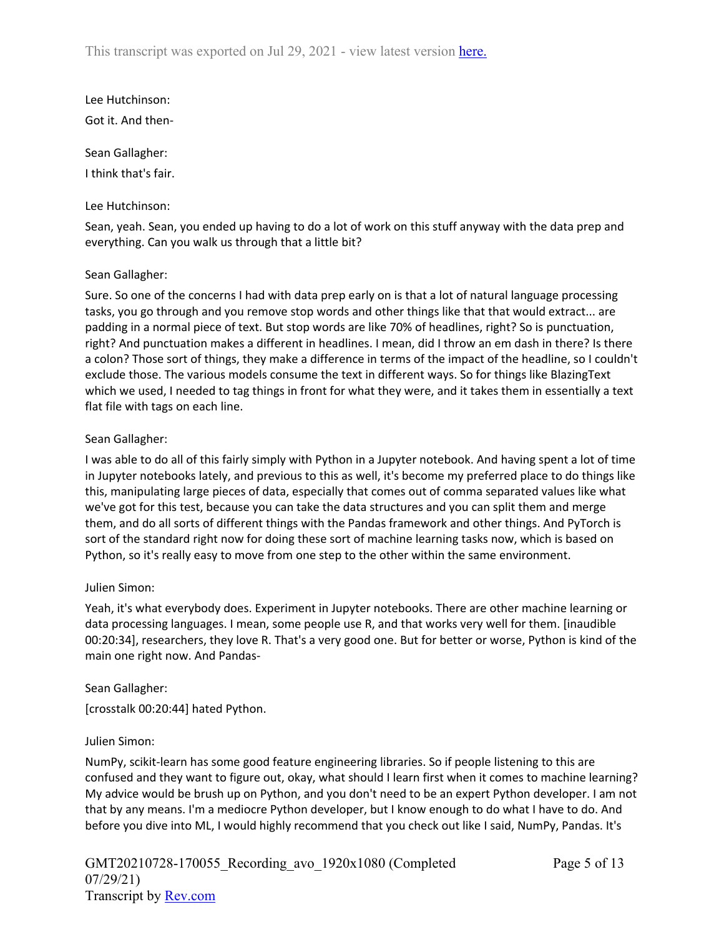Lee Hutchinson: Got it. And then-

Sean Gallagher: I think that's fair.

# Lee Hutchinson:

Sean, yeah. Sean, you ended up having to do a lot of work on this stuff anyway with the data prep and everything. Can you walk us through that a little bit?

# Sean Gallagher:

Sure. So one of the concerns I had with data prep early on is that a lot of natural language processing tasks, you go through and you remove stop words and other things like that that would extract... are padding in a normal piece of text. But stop words are like 70% of headlines, right? So is punctuation, right? And punctuation makes a different in headlines. I mean, did I throw an em dash in there? Is there a colon? Those sort of things, they make a difference in terms of the impact of the headline, so I couldn't exclude those. The various models consume the text in different ways. So for things like BlazingText which we used, I needed to tag things in front for what they were, and it takes them in essentially a text flat file with tags on each line.

# Sean Gallagher:

I was able to do all of this fairly simply with Python in a Jupyter notebook. And having spent a lot of time in Jupyter notebooks lately, and previous to this as well, it's become my preferred place to do things like this, manipulating large pieces of data, especially that comes out of comma separated values like what we've got for this test, because you can take the data structures and you can split them and merge them, and do all sorts of different things with the Pandas framework and other things. And PyTorch is sort of the standard right now for doing these sort of machine learning tasks now, which is based on Python, so it's really easy to move from one step to the other within the same environment.

# Julien Simon:

Yeah, it's what everybody does. Experiment in Jupyter notebooks. There are other machine learning or data processing languages. I mean, some people use R, and that works very well for them. [inaudible 00:20:34], researchers, they love R. That's a very good one. But for better or worse, Python is kind of the main one right now. And Pandas-

# Sean Gallagher:

[crosstalk 00:20:44] hated Python.

# Julien Simon:

NumPy, scikit-learn has some good feature engineering libraries. So if people listening to this are confused and they want to figure out, okay, what should I learn first when it comes to machine learning? My advice would be brush up on Python, and you don't need to be an expert Python developer. I am not that by any means. I'm a mediocre Python developer, but I know enough to do what I have to do. And before you dive into ML, I would highly recommend that you check out like I said, NumPy, Pandas. It's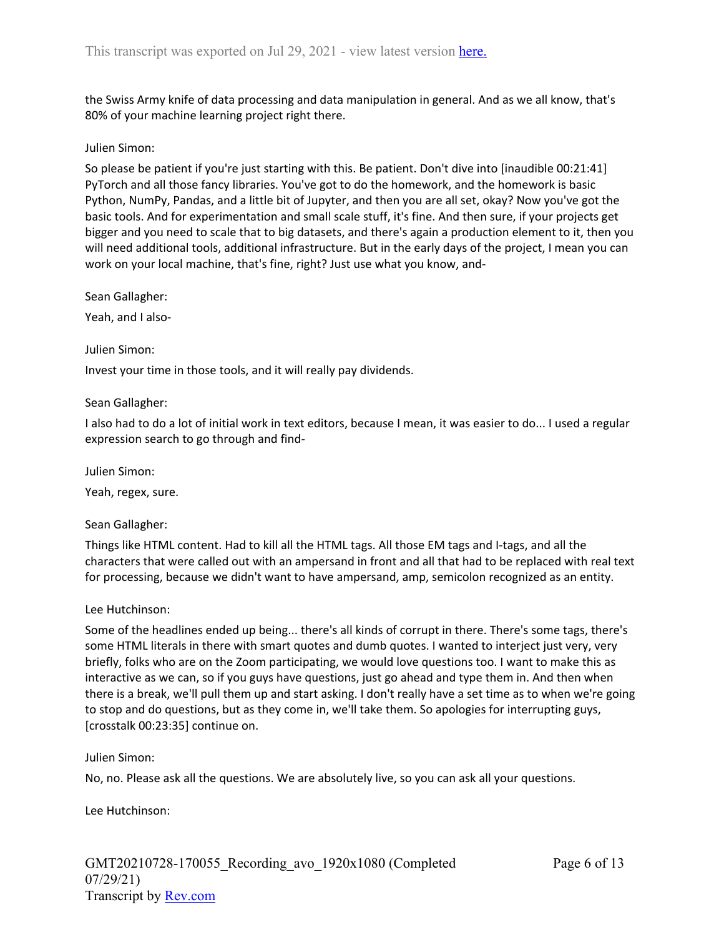the Swiss Army knife of data processing and data manipulation in general. And as we all know, that's 80% of your machine learning project right there.

### Julien Simon:

So please be patient if you're just starting with this. Be patient. Don't dive into [inaudible 00:21:41] PyTorch and all those fancy libraries. You've got to do the homework, and the homework is basic Python, NumPy, Pandas, and a little bit of Jupyter, and then you are all set, okay? Now you've got the basic tools. And for experimentation and small scale stuff, it's fine. And then sure, if your projects get bigger and you need to scale that to big datasets, and there's again a production element to it, then you will need additional tools, additional infrastructure. But in the early days of the project, I mean you can work on your local machine, that's fine, right? Just use what you know, and-

Sean Gallagher:

Yeah, and I also-

#### Julien Simon:

Invest your time in those tools, and it will really pay dividends.

#### Sean Gallagher:

I also had to do a lot of initial work in text editors, because I mean, it was easier to do... I used a regular expression search to go through and find-

Julien Simon:

Yeah, regex, sure.

# Sean Gallagher:

Things like HTML content. Had to kill all the HTML tags. All those EM tags and I-tags, and all the characters that were called out with an ampersand in front and all that had to be replaced with real text for processing, because we didn't want to have ampersand, amp, semicolon recognized as an entity.

#### Lee Hutchinson:

Some of the headlines ended up being... there's all kinds of corrupt in there. There's some tags, there's some HTML literals in there with smart quotes and dumb quotes. I wanted to interject just very, very briefly, folks who are on the Zoom participating, we would love questions too. I want to make this as interactive as we can, so if you guys have questions, just go ahead and type them in. And then when there is a break, we'll pull them up and start asking. I don't really have a set time as to when we're going to stop and do questions, but as they come in, we'll take them. So apologies for interrupting guys, [crosstalk 00:23:35] continue on.

# Julien Simon:

No, no. Please ask all the questions. We are absolutely live, so you can ask all your questions.

Lee Hutchinson: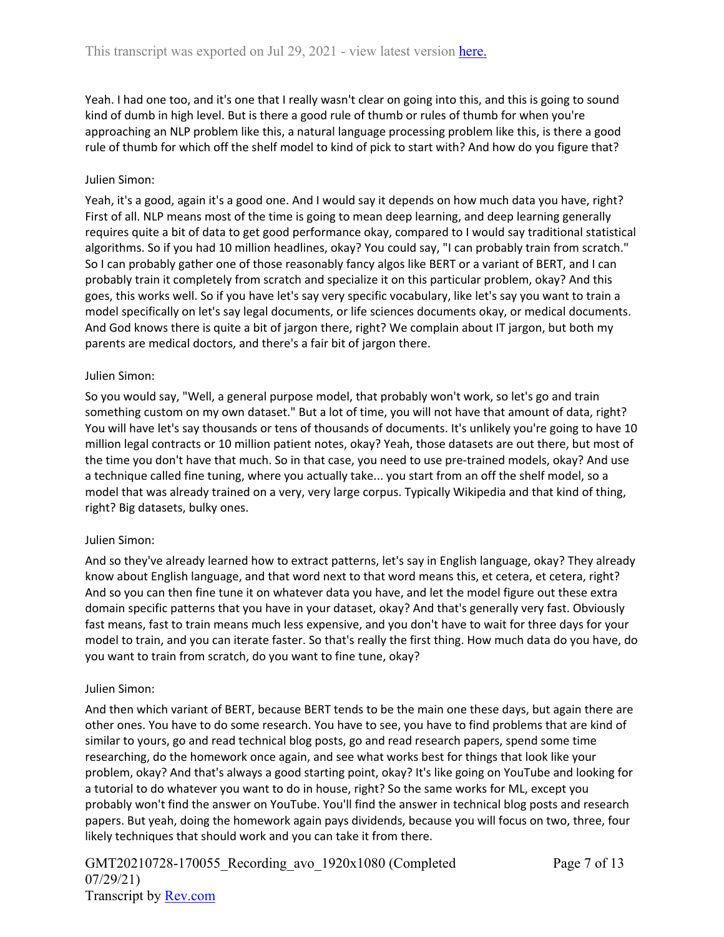Yeah. I had one too, and it's one that I really wasn't clear on going into this, and this is going to sound kind of dumb in high level. But is there a good rule of thumb or rules of thumb for when you're approaching an NLP problem like this, a natural language processing problem like this, is there a good rule of thumb for which off the shelf model to kind of pick to start with? And how do you figure that?

# Julien Simon:

Yeah, it's a good, again it's a good one. And I would say it depends on how much data you have, right? First of all. NLP means most of the time is going to mean deep learning, and deep learning generally requires quite a bit of data to get good performance okay, compared to I would say traditional statistical algorithms. So if you had 10 million headlines, okay? You could say, "I can probably train from scratch." So I can probably gather one of those reasonably fancy algos like BERT or a variant of BERT, and I can probably train it completely from scratch and specialize it on this particular problem, okay? And this goes, this works well. So if you have let's say very specific vocabulary, like let's say you want to train a model specifically on let's say legal documents, or life sciences documents okay, or medical documents. And God knows there is quite a bit of jargon there, right? We complain about IT jargon, but both my parents are medical doctors, and there's a fair bit of jargon there.

#### Julien Simon:

So you would say, "Well, a general purpose model, that probably won't work, so let's go and train something custom on my own dataset." But a lot of time, you will not have that amount of data, right? You will have let's say thousands or tens of thousands of documents. It's unlikely you're going to have 10 million legal contracts or 10 million patient notes, okay? Yeah, those datasets are out there, but most of the time you don't have that much. So in that case, you need to use pre-trained models, okay? And use a technique called fine tuning, where you actually take... you start from an off the shelf model, so a model that was already trained on a very, very large corpus. Typically Wikipedia and that kind of thing, right? Big datasets, bulky ones.

#### Julien Simon:

And so they've already learned how to extract patterns, let's say in English language, okay? They already know about English language, and that word next to that word means this, et cetera, et cetera, right? And so you can then fine tune it on whatever data you have, and let the model figure out these extra domain specific patterns that you have in your dataset, okay? And that's generally very fast. Obviously fast means, fast to train means much less expensive, and you don't have to wait for three days for your model to train, and you can iterate faster. So that's really the first thing. How much data do you have, do you want to train from scratch, do you want to fine tune, okay?

#### Julien Simon:

And then which variant of BERT, because BERT tends to be the main one these days, but again there are other ones. You have to do some research. You have to see, you have to find problems that are kind of similar to yours, go and read technical blog posts, go and read research papers, spend some time researching, do the homework once again, and see what works best for things that look like your problem, okay? And that's always a good starting point, okay? It's like going on YouTube and looking for a tutorial to do whatever you want to do in house, right? So the same works for ML, except you probably won't find the answer on YouTube. You'll find the answer in technical blog posts and research papers. But yeah, doing the homework again pays dividends, because you will focus on two, three, four likely techniques that should work and you can take it from there.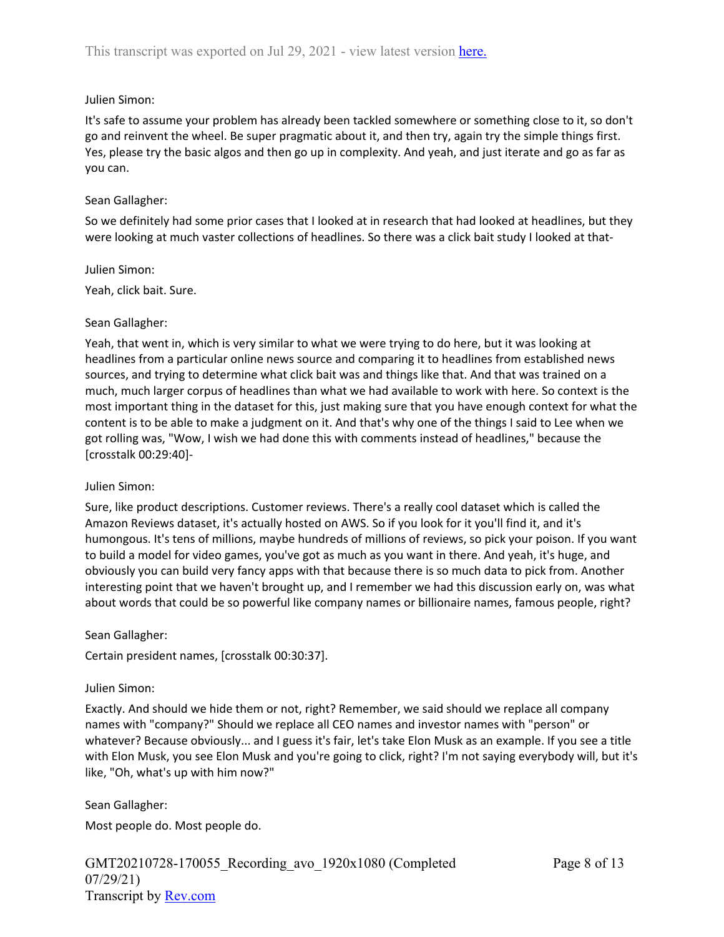# Julien Simon:

It's safe to assume your problem has already been tackled somewhere or something close to it, so don't go and reinvent the wheel. Be super pragmatic about it, and then try, again try the simple things first. Yes, please try the basic algos and then go up in complexity. And yeah, and just iterate and go as far as you can.

# Sean Gallagher:

So we definitely had some prior cases that I looked at in research that had looked at headlines, but they were looking at much vaster collections of headlines. So there was a click bait study I looked at that-

#### Julien Simon:

Yeah, click bait. Sure.

# Sean Gallagher:

Yeah, that went in, which is very similar to what we were trying to do here, but it was looking at headlines from a particular online news source and comparing it to headlines from established news sources, and trying to determine what click bait was and things like that. And that was trained on a much, much larger corpus of headlines than what we had available to work with here. So context is the most important thing in the dataset for this, just making sure that you have enough context for what the content is to be able to make a judgment on it. And that's why one of the things I said to Lee when we got rolling was, "Wow, I wish we had done this with comments instead of headlines," because the [crosstalk 00:29:40]-

# Julien Simon:

Sure, like product descriptions. Customer reviews. There's a really cool dataset which is called the Amazon Reviews dataset, it's actually hosted on AWS. So if you look for it you'll find it, and it's humongous. It's tens of millions, maybe hundreds of millions of reviews, so pick your poison. If you want to build a model for video games, you've got as much as you want in there. And yeah, it's huge, and obviously you can build very fancy apps with that because there is so much data to pick from. Another interesting point that we haven't brought up, and I remember we had this discussion early on, was what about words that could be so powerful like company names or billionaire names, famous people, right?

# Sean Gallagher:

Certain president names, [crosstalk 00:30:37].

# Julien Simon:

Exactly. And should we hide them or not, right? Remember, we said should we replace all company names with "company?" Should we replace all CEO names and investor names with "person" or whatever? Because obviously... and I guess it's fair, let's take Elon Musk as an example. If you see a title with Elon Musk, you see Elon Musk and you're going to click, right? I'm not saying everybody will, but it's like, "Oh, what's up with him now?"

Sean Gallagher: Most people do. Most people do.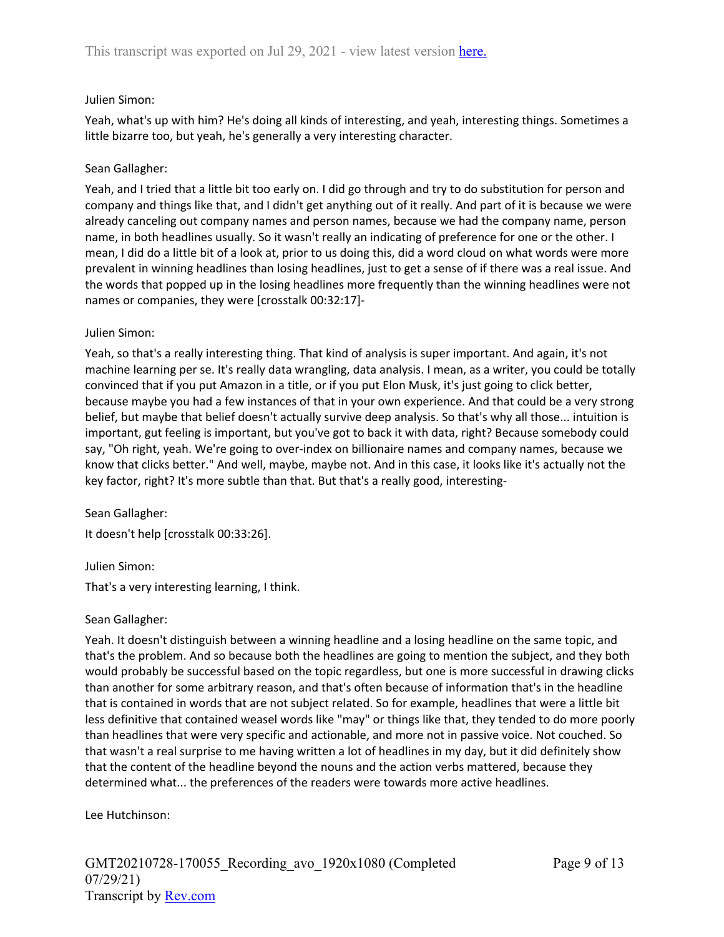# Julien Simon:

Yeah, what's up with him? He's doing all kinds of interesting, and yeah, interesting things. Sometimes a little bizarre too, but yeah, he's generally a very interesting character.

# Sean Gallagher:

Yeah, and I tried that a little bit too early on. I did go through and try to do substitution for person and company and things like that, and I didn't get anything out of it really. And part of it is because we were already canceling out company names and person names, because we had the company name, person name, in both headlines usually. So it wasn't really an indicating of preference for one or the other. I mean, I did do a little bit of a look at, prior to us doing this, did a word cloud on what words were more prevalent in winning headlines than losing headlines, just to get a sense of if there was a real issue. And the words that popped up in the losing headlines more frequently than the winning headlines were not names or companies, they were [crosstalk 00:32:17]-

# Julien Simon:

Yeah, so that's a really interesting thing. That kind of analysis is super important. And again, it's not machine learning per se. It's really data wrangling, data analysis. I mean, as a writer, you could be totally convinced that if you put Amazon in a title, or if you put Elon Musk, it's just going to click better, because maybe you had a few instances of that in your own experience. And that could be a very strong belief, but maybe that belief doesn't actually survive deep analysis. So that's why all those... intuition is important, gut feeling is important, but you've got to back it with data, right? Because somebody could say, "Oh right, yeah. We're going to over-index on billionaire names and company names, because we know that clicks better." And well, maybe, maybe not. And in this case, it looks like it's actually not the key factor, right? It's more subtle than that. But that's a really good, interesting-

Sean Gallagher:

It doesn't help [crosstalk 00:33:26].

# Julien Simon:

That's a very interesting learning, I think.

# Sean Gallagher:

Yeah. It doesn't distinguish between a winning headline and a losing headline on the same topic, and that's the problem. And so because both the headlines are going to mention the subject, and they both would probably be successful based on the topic regardless, but one is more successful in drawing clicks than another for some arbitrary reason, and that's often because of information that's in the headline that is contained in words that are not subject related. So for example, headlines that were a little bit less definitive that contained weasel words like "may" or things like that, they tended to do more poorly than headlines that were very specific and actionable, and more not in passive voice. Not couched. So that wasn't a real surprise to me having written a lot of headlines in my day, but it did definitely show that the content of the headline beyond the nouns and the action verbs mattered, because they determined what... the preferences of the readers were towards more active headlines.

Lee Hutchinson: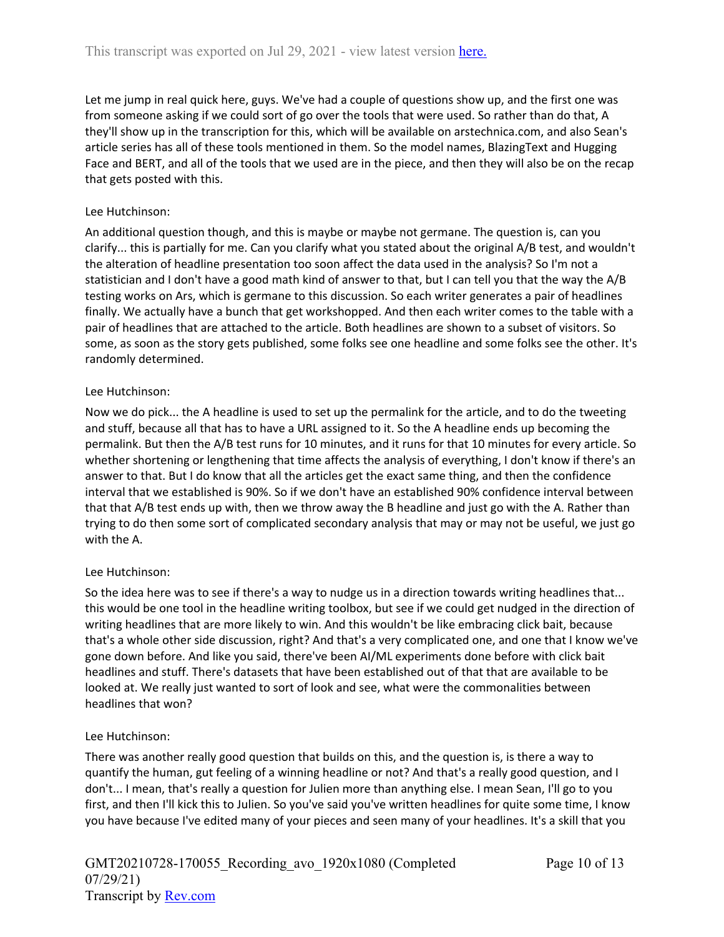Let me jump in real quick here, guys. We've had a couple of questions show up, and the first one was from someone asking if we could sort of go over the tools that were used. So rather than do that, A they'll show up in the transcription for this, which will be available on arstechnica.com, and also Sean's article series has all of these tools mentioned in them. So the model names, BlazingText and Hugging Face and BERT, and all of the tools that we used are in the piece, and then they will also be on the recap that gets posted with this.

# Lee Hutchinson:

An additional question though, and this is maybe or maybe not germane. The question is, can you clarify... this is partially for me. Can you clarify what you stated about the original A/B test, and wouldn't the alteration of headline presentation too soon affect the data used in the analysis? So I'm not a statistician and I don't have a good math kind of answer to that, but I can tell you that the way the A/B testing works on Ars, which is germane to this discussion. So each writer generates a pair of headlines finally. We actually have a bunch that get workshopped. And then each writer comes to the table with a pair of headlines that are attached to the article. Both headlines are shown to a subset of visitors. So some, as soon as the story gets published, some folks see one headline and some folks see the other. It's randomly determined.

# Lee Hutchinson:

Now we do pick... the A headline is used to set up the permalink for the article, and to do the tweeting and stuff, because all that has to have a URL assigned to it. So the A headline ends up becoming the permalink. But then the A/B test runs for 10 minutes, and it runs for that 10 minutes for every article. So whether shortening or lengthening that time affects the analysis of everything, I don't know if there's an answer to that. But I do know that all the articles get the exact same thing, and then the confidence interval that we established is 90%. So if we don't have an established 90% confidence interval between that that A/B test ends up with, then we throw away the B headline and just go with the A. Rather than trying to do then some sort of complicated secondary analysis that may or may not be useful, we just go with the A.

# Lee Hutchinson:

So the idea here was to see if there's a way to nudge us in a direction towards writing headlines that... this would be one tool in the headline writing toolbox, but see if we could get nudged in the direction of writing headlines that are more likely to win. And this wouldn't be like embracing click bait, because that's a whole other side discussion, right? And that's a very complicated one, and one that I know we've gone down before. And like you said, there've been AI/ML experiments done before with click bait headlines and stuff. There's datasets that have been established out of that that are available to be looked at. We really just wanted to sort of look and see, what were the commonalities between headlines that won?

# Lee Hutchinson:

There was another really good question that builds on this, and the question is, is there a way to quantify the human, gut feeling of a winning headline or not? And that's a really good question, and I don't... I mean, that's really a question for Julien more than anything else. I mean Sean, I'll go to you first, and then I'll kick this to Julien. So you've said you've written headlines for quite some time, I know you have because I've edited many of your pieces and seen many of your headlines. It's a skill that you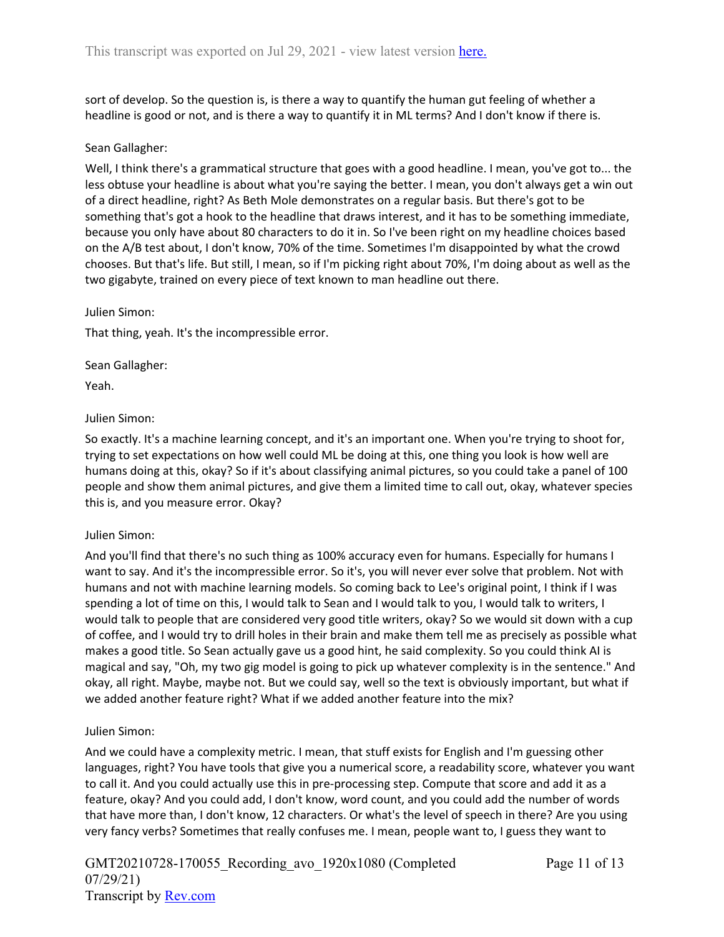sort of develop. So the question is, is there a way to quantify the human gut feeling of whether a headline is good or not, and is there a way to quantify it in ML terms? And I don't know if there is.

# Sean Gallagher:

Well, I think there's a grammatical structure that goes with a good headline. I mean, you've got to... the less obtuse your headline is about what you're saying the better. I mean, you don't always get a win out of a direct headline, right? As Beth Mole demonstrates on a regular basis. But there's got to be something that's got a hook to the headline that draws interest, and it has to be something immediate, because you only have about 80 characters to do it in. So I've been right on my headline choices based on the A/B test about, I don't know, 70% of the time. Sometimes I'm disappointed by what the crowd chooses. But that's life. But still, I mean, so if I'm picking right about 70%, I'm doing about as well as the two gigabyte, trained on every piece of text known to man headline out there.

# Julien Simon:

That thing, yeah. It's the incompressible error.

Sean Gallagher:

Yeah.

# Julien Simon:

So exactly. It's a machine learning concept, and it's an important one. When you're trying to shoot for, trying to set expectations on how well could ML be doing at this, one thing you look is how well are humans doing at this, okay? So if it's about classifying animal pictures, so you could take a panel of 100 people and show them animal pictures, and give them a limited time to call out, okay, whatever species this is, and you measure error. Okay?

# Julien Simon:

And you'll find that there's no such thing as 100% accuracy even for humans. Especially for humans I want to say. And it's the incompressible error. So it's, you will never ever solve that problem. Not with humans and not with machine learning models. So coming back to Lee's original point, I think if I was spending a lot of time on this, I would talk to Sean and I would talk to you, I would talk to writers, I would talk to people that are considered very good title writers, okay? So we would sit down with a cup of coffee, and I would try to drill holes in their brain and make them tell me as precisely as possible what makes a good title. So Sean actually gave us a good hint, he said complexity. So you could think AI is magical and say, "Oh, my two gig model is going to pick up whatever complexity is in the sentence." And okay, all right. Maybe, maybe not. But we could say, well so the text is obviously important, but what if we added another feature right? What if we added another feature into the mix?

# Julien Simon:

And we could have a complexity metric. I mean, that stuff exists for English and I'm guessing other languages, right? You have tools that give you a numerical score, a readability score, whatever you want to call it. And you could actually use this in pre-processing step. Compute that score and add it as a feature, okay? And you could add, I don't know, word count, and you could add the number of words that have more than, I don't know, 12 characters. Or what's the level of speech in there? Are you using very fancy verbs? Sometimes that really confuses me. I mean, people want to, I guess they want to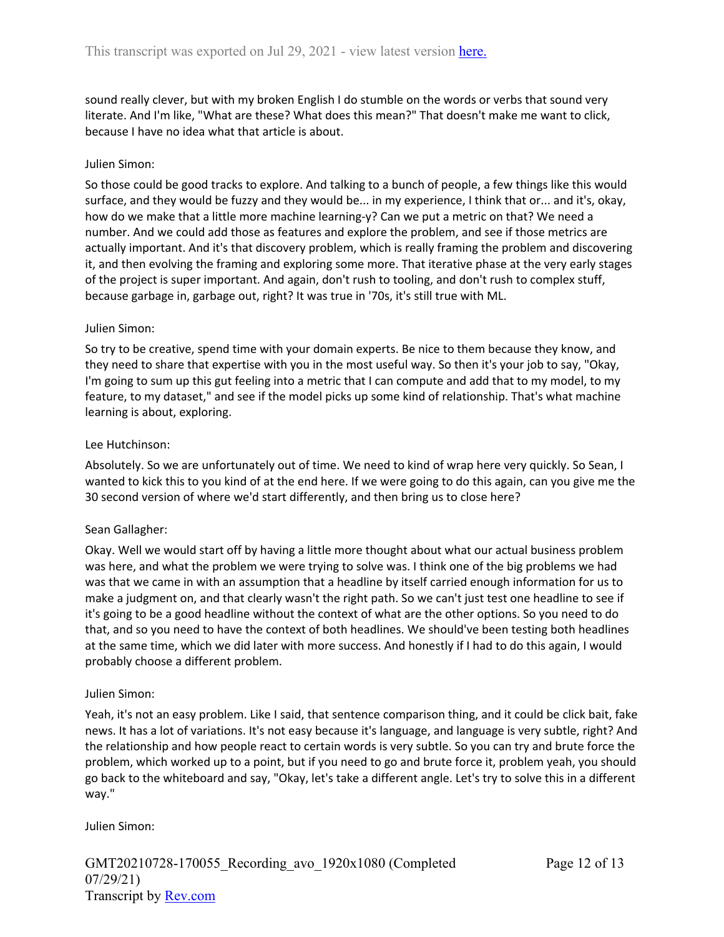sound really clever, but with my broken English I do stumble on the words or verbs that sound very literate. And I'm like, "What are these? What does this mean?" That doesn't make me want to click, because I have no idea what that article is about.

# Julien Simon:

So those could be good tracks to explore. And talking to a bunch of people, a few things like this would surface, and they would be fuzzy and they would be... in my experience, I think that or... and it's, okay, how do we make that a little more machine learning-y? Can we put a metric on that? We need a number. And we could add those as features and explore the problem, and see if those metrics are actually important. And it's that discovery problem, which is really framing the problem and discovering it, and then evolving the framing and exploring some more. That iterative phase at the very early stages of the project is super important. And again, don't rush to tooling, and don't rush to complex stuff, because garbage in, garbage out, right? It was true in '70s, it's still true with ML.

#### Julien Simon:

So try to be creative, spend time with your domain experts. Be nice to them because they know, and they need to share that expertise with you in the most useful way. So then it's your job to say, "Okay, I'm going to sum up this gut feeling into a metric that I can compute and add that to my model, to my feature, to my dataset," and see if the model picks up some kind of relationship. That's what machine learning is about, exploring.

#### Lee Hutchinson:

Absolutely. So we are unfortunately out of time. We need to kind of wrap here very quickly. So Sean, I wanted to kick this to you kind of at the end here. If we were going to do this again, can you give me the 30 second version of where we'd start differently, and then bring us to close here?

# Sean Gallagher:

Okay. Well we would start off by having a little more thought about what our actual business problem was here, and what the problem we were trying to solve was. I think one of the big problems we had was that we came in with an assumption that a headline by itself carried enough information for us to make a judgment on, and that clearly wasn't the right path. So we can't just test one headline to see if it's going to be a good headline without the context of what are the other options. So you need to do that, and so you need to have the context of both headlines. We should've been testing both headlines at the same time, which we did later with more success. And honestly if I had to do this again, I would probably choose a different problem.

#### Julien Simon:

Yeah, it's not an easy problem. Like I said, that sentence comparison thing, and it could be click bait, fake news. It has a lot of variations. It's not easy because it's language, and language is very subtle, right? And the relationship and how people react to certain words is very subtle. So you can try and brute force the problem, which worked up to a point, but if you need to go and brute force it, problem yeah, you should go back to the whiteboard and say, "Okay, let's take a different angle. Let's try to solve this in a different way."

#### Julien Simon: